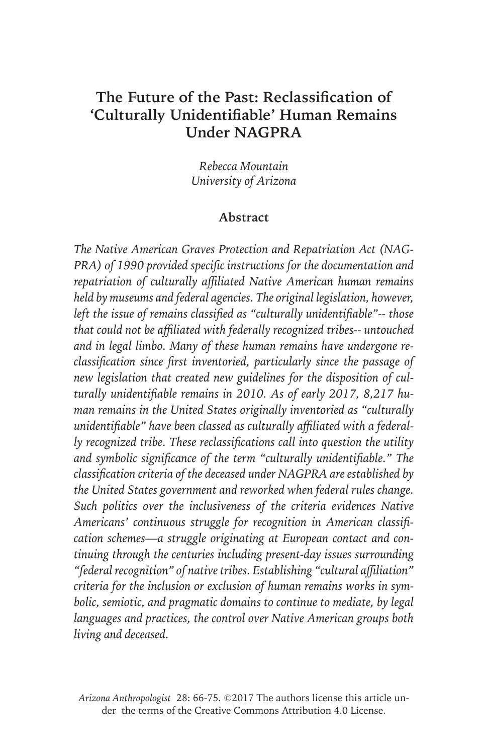# **The Future of the Past: Reclassification of 'Culturally Unidentifiable' Human Remains Under NAGPRA**

*Rebecca Mountain University of Arizona*

#### **Abstract**

*The Native American Graves Protection and Repatriation Act (NAG-PRA) of 1990 provided specific instructions for the documentation and repatriation of culturally affiliated Native American human remains held by museums and federal agencies. The original legislation, however, left the issue of remains classified as "culturally unidentifiable"-- those that could not be affiliated with federally recognized tribes-- untouched and in legal limbo. Many of these human remains have undergone reclassification since first inventoried, particularly since the passage of new legislation that created new guidelines for the disposition of culturally unidentifiable remains in 2010. As of early 2017, 8,217 human remains in the United States originally inventoried as "culturally unidentifiable" have been classed as culturally affiliated with a federally recognized tribe. These reclassifications call into question the utility and symbolic significance of the term "culturally unidentifiable." The classification criteria of the deceased under NAGPRA are established by the United States government and reworked when federal rules change. Such politics over the inclusiveness of the criteria evidences Native Americans' continuous struggle for recognition in American classification schemes—a struggle originating at European contact and continuing through the centuries including present-day issues surrounding "federal recognition" of native tribes. Establishing "cultural affiliation" criteria for the inclusion or exclusion of human remains works in symbolic, semiotic, and pragmatic domains to continue to mediate, by legal languages and practices, the control over Native American groups both living and deceased.*

*Arizona Anthropologist* 28: 66-75. ©2017 The authors license this article under the terms of the Creative Commons Attribution 4.0 License.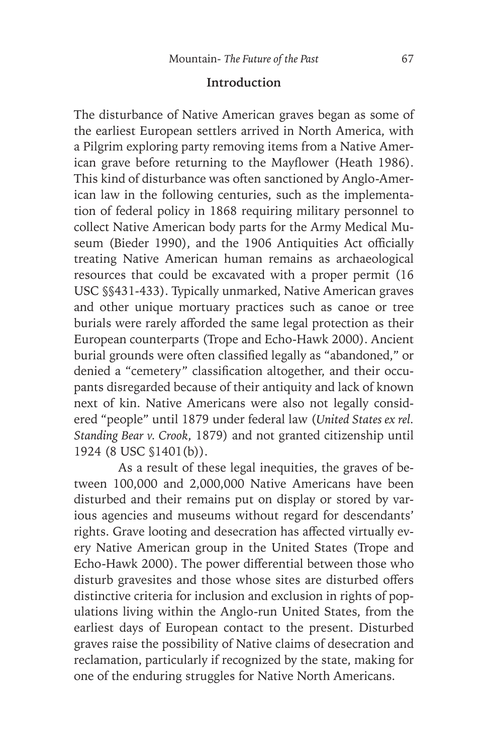#### **Introduction**

The disturbance of Native American graves began as some of the earliest European settlers arrived in North America, with a Pilgrim exploring party removing items from a Native American grave before returning to the Mayflower (Heath 1986). This kind of disturbance was often sanctioned by Anglo-American law in the following centuries, such as the implementation of federal policy in 1868 requiring military personnel to collect Native American body parts for the Army Medical Museum (Bieder 1990), and the 1906 Antiquities Act officially treating Native American human remains as archaeological resources that could be excavated with a proper permit (16 USC §§431-433). Typically unmarked, Native American graves and other unique mortuary practices such as canoe or tree burials were rarely afforded the same legal protection as their European counterparts (Trope and Echo-Hawk 2000). Ancient burial grounds were often classified legally as "abandoned," or denied a "cemetery" classification altogether, and their occupants disregarded because of their antiquity and lack of known next of kin. Native Americans were also not legally considered "people" until 1879 under federal law (*United States ex rel. Standing Bear v. Crook*, 1879) and not granted citizenship until 1924 (8 USC §1401(b)).

As a result of these legal inequities, the graves of between 100,000 and 2,000,000 Native Americans have been disturbed and their remains put on display or stored by various agencies and museums without regard for descendants' rights. Grave looting and desecration has affected virtually every Native American group in the United States (Trope and Echo-Hawk 2000). The power differential between those who disturb gravesites and those whose sites are disturbed offers distinctive criteria for inclusion and exclusion in rights of populations living within the Anglo-run United States, from the earliest days of European contact to the present. Disturbed graves raise the possibility of Native claims of desecration and reclamation, particularly if recognized by the state, making for one of the enduring struggles for Native North Americans.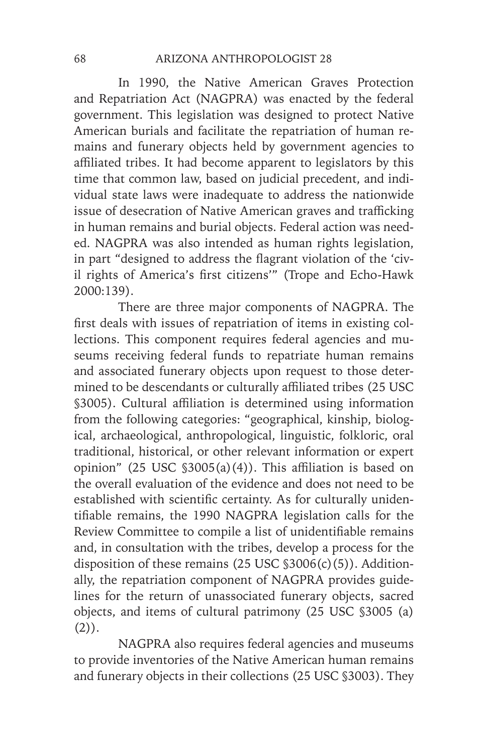In 1990, the Native American Graves Protection and Repatriation Act (NAGPRA) was enacted by the federal government. This legislation was designed to protect Native American burials and facilitate the repatriation of human remains and funerary objects held by government agencies to affiliated tribes. It had become apparent to legislators by this time that common law, based on judicial precedent, and individual state laws were inadequate to address the nationwide issue of desecration of Native American graves and trafficking in human remains and burial objects. Federal action was needed. NAGPRA was also intended as human rights legislation, in part "designed to address the flagrant violation of the 'civil rights of America's first citizens'" (Trope and Echo-Hawk 2000:139).

There are three major components of NAGPRA. The first deals with issues of repatriation of items in existing collections. This component requires federal agencies and museums receiving federal funds to repatriate human remains and associated funerary objects upon request to those determined to be descendants or culturally affiliated tribes (25 USC §3005). Cultural affiliation is determined using information from the following categories: "geographical, kinship, biological, archaeological, anthropological, linguistic, folkloric, oral traditional, historical, or other relevant information or expert opinion" (25 USC §3005(a)(4)). This affiliation is based on the overall evaluation of the evidence and does not need to be established with scientific certainty. As for culturally unidentifiable remains, the 1990 NAGPRA legislation calls for the Review Committee to compile a list of unidentifiable remains and, in consultation with the tribes, develop a process for the disposition of these remains  $(25 \text{ USC } $3006(c)(5))$ . Additionally, the repatriation component of NAGPRA provides guidelines for the return of unassociated funerary objects, sacred objects, and items of cultural patrimony (25 USC §3005 (a)  $(2)$ ).

NAGPRA also requires federal agencies and museums to provide inventories of the Native American human remains and funerary objects in their collections (25 USC §3003). They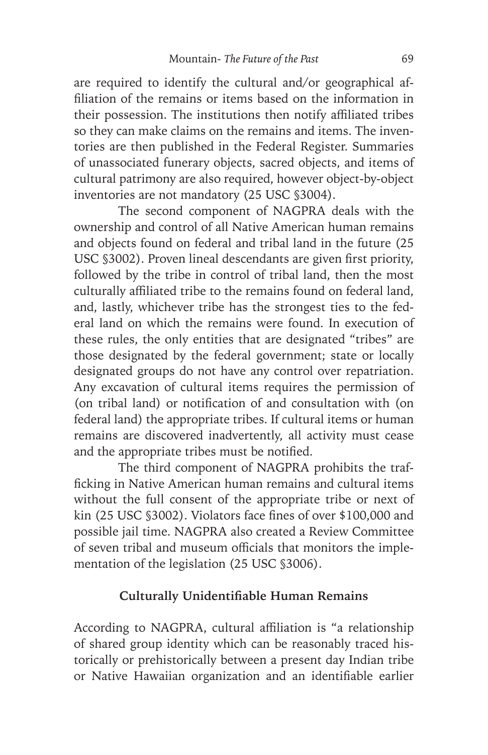are required to identify the cultural and/or geographical affiliation of the remains or items based on the information in their possession. The institutions then notify affiliated tribes so they can make claims on the remains and items. The inventories are then published in the Federal Register. Summaries of unassociated funerary objects, sacred objects, and items of cultural patrimony are also required, however object-by-object inventories are not mandatory (25 USC §3004).

The second component of NAGPRA deals with the ownership and control of all Native American human remains and objects found on federal and tribal land in the future (25 USC §3002). Proven lineal descendants are given first priority, followed by the tribe in control of tribal land, then the most culturally affiliated tribe to the remains found on federal land, and, lastly, whichever tribe has the strongest ties to the federal land on which the remains were found. In execution of these rules, the only entities that are designated "tribes" are those designated by the federal government; state or locally designated groups do not have any control over repatriation. Any excavation of cultural items requires the permission of (on tribal land) or notification of and consultation with (on federal land) the appropriate tribes. If cultural items or human remains are discovered inadvertently, all activity must cease and the appropriate tribes must be notified.

The third component of NAGPRA prohibits the trafficking in Native American human remains and cultural items without the full consent of the appropriate tribe or next of kin (25 USC §3002). Violators face fines of over \$100,000 and possible jail time. NAGPRA also created a Review Committee of seven tribal and museum officials that monitors the implementation of the legislation (25 USC §3006).

## **Culturally Unidentifiable Human Remains**

According to NAGPRA, cultural affiliation is "a relationship of shared group identity which can be reasonably traced historically or prehistorically between a present day Indian tribe or Native Hawaiian organization and an identifiable earlier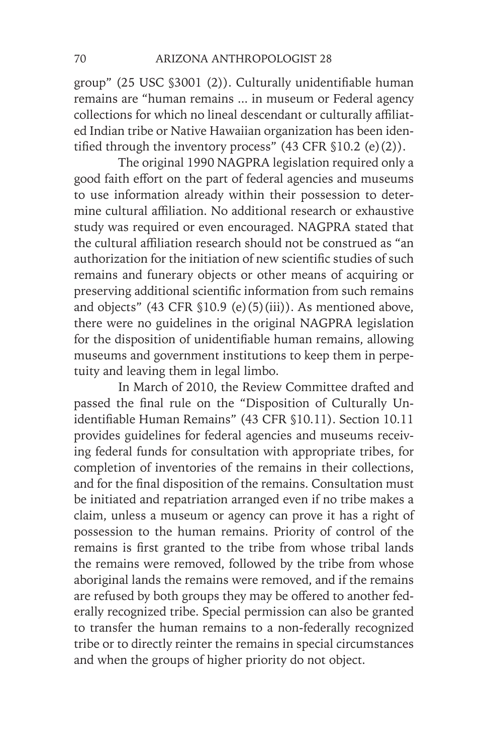group" (25 USC §3001 (2)). Culturally unidentifiable human remains are "human remains ... in museum or Federal agency collections for which no lineal descendant or culturally affiliated Indian tribe or Native Hawaiian organization has been identified through the inventory process" (43 CFR §10.2 (e)(2)).

The original 1990 NAGPRA legislation required only a good faith effort on the part of federal agencies and museums to use information already within their possession to determine cultural affiliation. No additional research or exhaustive study was required or even encouraged. NAGPRA stated that the cultural affiliation research should not be construed as "an authorization for the initiation of new scientific studies of such remains and funerary objects or other means of acquiring or preserving additional scientific information from such remains and objects" (43 CFR §10.9 (e)(5)(iii)). As mentioned above, there were no guidelines in the original NAGPRA legislation for the disposition of unidentifiable human remains, allowing museums and government institutions to keep them in perpetuity and leaving them in legal limbo.

In March of 2010, the Review Committee drafted and passed the final rule on the "Disposition of Culturally Unidentifiable Human Remains" (43 CFR §10.11). Section 10.11 provides guidelines for federal agencies and museums receiving federal funds for consultation with appropriate tribes, for completion of inventories of the remains in their collections, and for the final disposition of the remains. Consultation must be initiated and repatriation arranged even if no tribe makes a claim, unless a museum or agency can prove it has a right of possession to the human remains. Priority of control of the remains is first granted to the tribe from whose tribal lands the remains were removed, followed by the tribe from whose aboriginal lands the remains were removed, and if the remains are refused by both groups they may be offered to another federally recognized tribe. Special permission can also be granted to transfer the human remains to a non-federally recognized tribe or to directly reinter the remains in special circumstances and when the groups of higher priority do not object.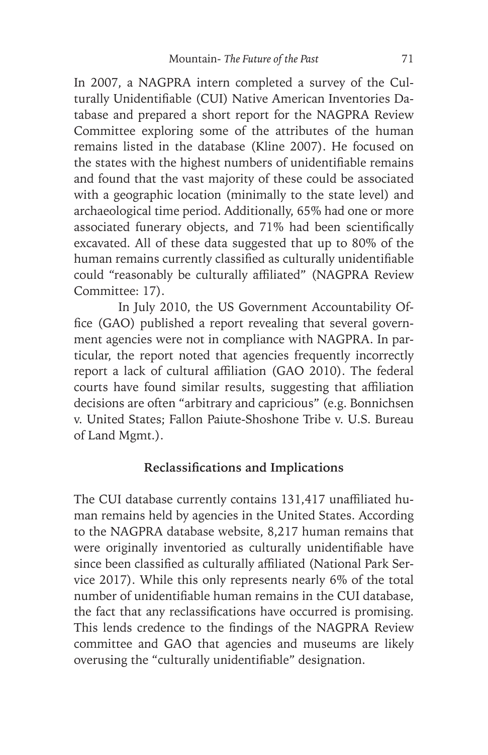In 2007, a NAGPRA intern completed a survey of the Culturally Unidentifiable (CUI) Native American Inventories Database and prepared a short report for the NAGPRA Review Committee exploring some of the attributes of the human remains listed in the database (Kline 2007). He focused on the states with the highest numbers of unidentifiable remains and found that the vast majority of these could be associated with a geographic location (minimally to the state level) and archaeological time period. Additionally, 65% had one or more associated funerary objects, and 71% had been scientifically excavated. All of these data suggested that up to 80% of the human remains currently classified as culturally unidentifiable could "reasonably be culturally affiliated" (NAGPRA Review Committee: 17).

In July 2010, the US Government Accountability Office (GAO) published a report revealing that several government agencies were not in compliance with NAGPRA. In particular, the report noted that agencies frequently incorrectly report a lack of cultural affiliation (GAO 2010). The federal courts have found similar results, suggesting that affiliation decisions are often "arbitrary and capricious" (e.g. Bonnichsen v. United States; Fallon Paiute-Shoshone Tribe v. U.S. Bureau of Land Mgmt.).

## **Reclassifications and Implications**

The CUI database currently contains 131,417 unaffiliated human remains held by agencies in the United States. According to the NAGPRA database website, 8,217 human remains that were originally inventoried as culturally unidentifiable have since been classified as culturally affiliated (National Park Service 2017). While this only represents nearly 6% of the total number of unidentifiable human remains in the CUI database, the fact that any reclassifications have occurred is promising. This lends credence to the findings of the NAGPRA Review committee and GAO that agencies and museums are likely overusing the "culturally unidentifiable" designation.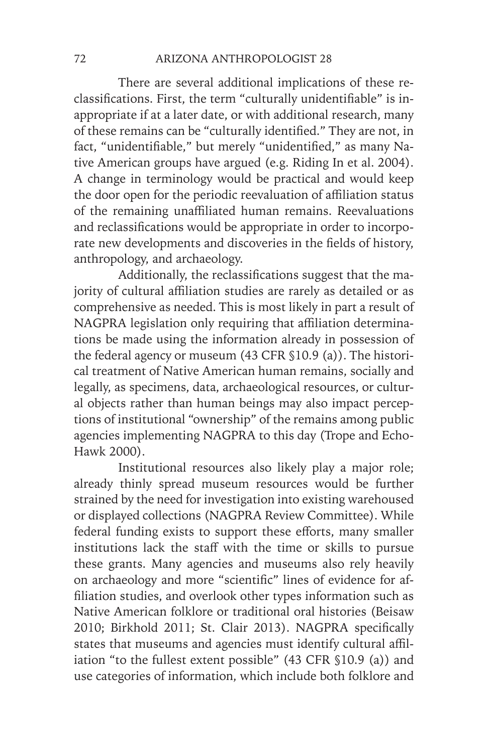There are several additional implications of these reclassifications. First, the term "culturally unidentifiable" is inappropriate if at a later date, or with additional research, many of these remains can be "culturally identified." They are not, in fact, "unidentifiable," but merely "unidentified," as many Native American groups have argued (e.g. Riding In et al. 2004). A change in terminology would be practical and would keep the door open for the periodic reevaluation of affiliation status of the remaining unaffiliated human remains. Reevaluations and reclassifications would be appropriate in order to incorporate new developments and discoveries in the fields of history, anthropology, and archaeology.

Additionally, the reclassifications suggest that the majority of cultural affiliation studies are rarely as detailed or as comprehensive as needed. This is most likely in part a result of NAGPRA legislation only requiring that affiliation determinations be made using the information already in possession of the federal agency or museum (43 CFR §10.9 (a)). The historical treatment of Native American human remains, socially and legally, as specimens, data, archaeological resources, or cultural objects rather than human beings may also impact perceptions of institutional "ownership" of the remains among public agencies implementing NAGPRA to this day (Trope and Echo-Hawk 2000).

Institutional resources also likely play a major role; already thinly spread museum resources would be further strained by the need for investigation into existing warehoused or displayed collections (NAGPRA Review Committee). While federal funding exists to support these efforts, many smaller institutions lack the staff with the time or skills to pursue these grants. Many agencies and museums also rely heavily on archaeology and more "scientific" lines of evidence for affiliation studies, and overlook other types information such as Native American folklore or traditional oral histories (Beisaw 2010; Birkhold 2011; St. Clair 2013). NAGPRA specifically states that museums and agencies must identify cultural affiliation "to the fullest extent possible" (43 CFR §10.9 (a)) and use categories of information, which include both folklore and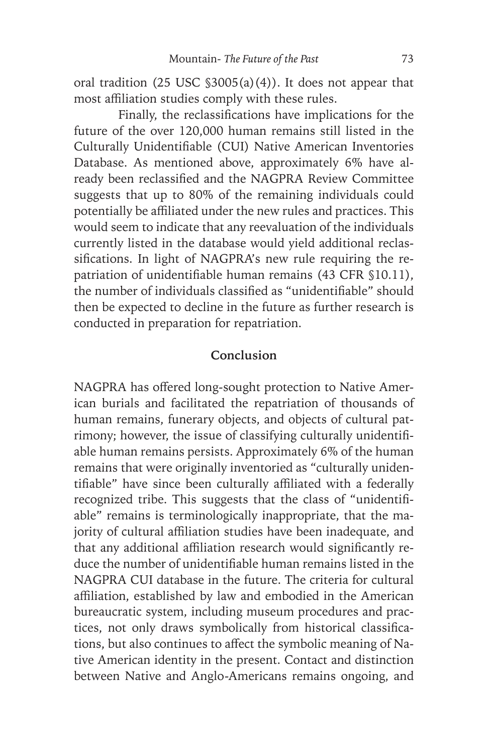oral tradition  $(25 \text{ USC } $3005(a)(4))$ . It does not appear that most affiliation studies comply with these rules.

Finally, the reclassifications have implications for the future of the over 120,000 human remains still listed in the Culturally Unidentifiable (CUI) Native American Inventories Database. As mentioned above, approximately 6% have already been reclassified and the NAGPRA Review Committee suggests that up to 80% of the remaining individuals could potentially be affiliated under the new rules and practices. This would seem to indicate that any reevaluation of the individuals currently listed in the database would yield additional reclassifications. In light of NAGPRA's new rule requiring the repatriation of unidentifiable human remains (43 CFR §10.11), the number of individuals classified as "unidentifiable" should then be expected to decline in the future as further research is conducted in preparation for repatriation.

## **Conclusion**

NAGPRA has offered long-sought protection to Native American burials and facilitated the repatriation of thousands of human remains, funerary objects, and objects of cultural patrimony; however, the issue of classifying culturally unidentifiable human remains persists. Approximately 6% of the human remains that were originally inventoried as "culturally unidentifiable" have since been culturally affiliated with a federally recognized tribe. This suggests that the class of "unidentifiable" remains is terminologically inappropriate, that the majority of cultural affiliation studies have been inadequate, and that any additional affiliation research would significantly reduce the number of unidentifiable human remains listed in the NAGPRA CUI database in the future. The criteria for cultural affiliation, established by law and embodied in the American bureaucratic system, including museum procedures and practices, not only draws symbolically from historical classifications, but also continues to affect the symbolic meaning of Native American identity in the present. Contact and distinction between Native and Anglo-Americans remains ongoing, and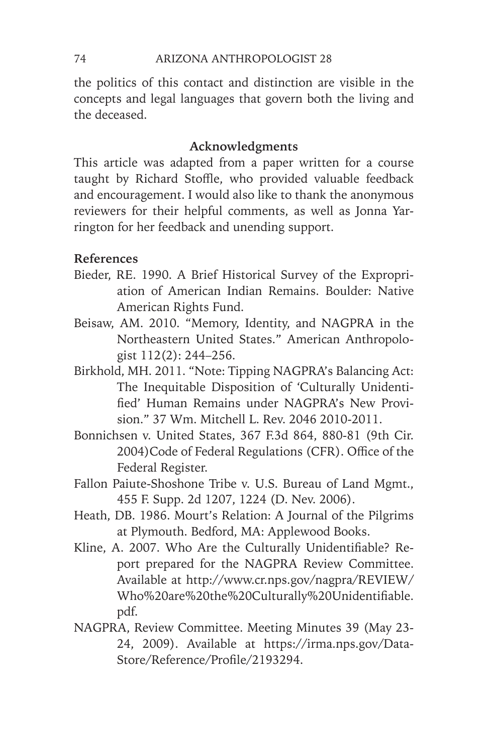the politics of this contact and distinction are visible in the concepts and legal languages that govern both the living and the deceased.

# **Acknowledgments**

This article was adapted from a paper written for a course taught by Richard Stoffle, who provided valuable feedback and encouragement. I would also like to thank the anonymous reviewers for their helpful comments, as well as Jonna Yarrington for her feedback and unending support.

## **References**

- Bieder, RE. 1990. A Brief Historical Survey of the Expropriation of American Indian Remains. Boulder: Native American Rights Fund.
- Beisaw, AM. 2010. "Memory, Identity, and NAGPRA in the Northeastern United States." American Anthropologist 112(2): 244–256.
- Birkhold, MH. 2011. "Note: Tipping NAGPRA's Balancing Act: The Inequitable Disposition of 'Culturally Unidentified' Human Remains under NAGPRA's New Provision." 37 Wm. Mitchell L. Rev. 2046 2010-2011.
- Bonnichsen v. United States, 367 F.3d 864, 880-81 (9th Cir. 2004)Code of Federal Regulations (CFR). Office of the Federal Register.
- Fallon Paiute-Shoshone Tribe v. U.S. Bureau of Land Mgmt., 455 F. Supp. 2d 1207, 1224 (D. Nev. 2006).
- Heath, DB. 1986. Mourt's Relation: A Journal of the Pilgrims at Plymouth. Bedford, MA: Applewood Books.
- Kline, A. 2007. Who Are the Culturally Unidentifiable? Report prepared for the NAGPRA Review Committee. Available at http://www.cr.nps.gov/nagpra/REVIEW/ Who%20are%20the%20Culturally%20Unidentifiable. pdf.
- NAGPRA, Review Committee. Meeting Minutes 39 (May 23- 24, 2009). Available at https://irma.nps.gov/Data-Store/Reference/Profile/2193294.